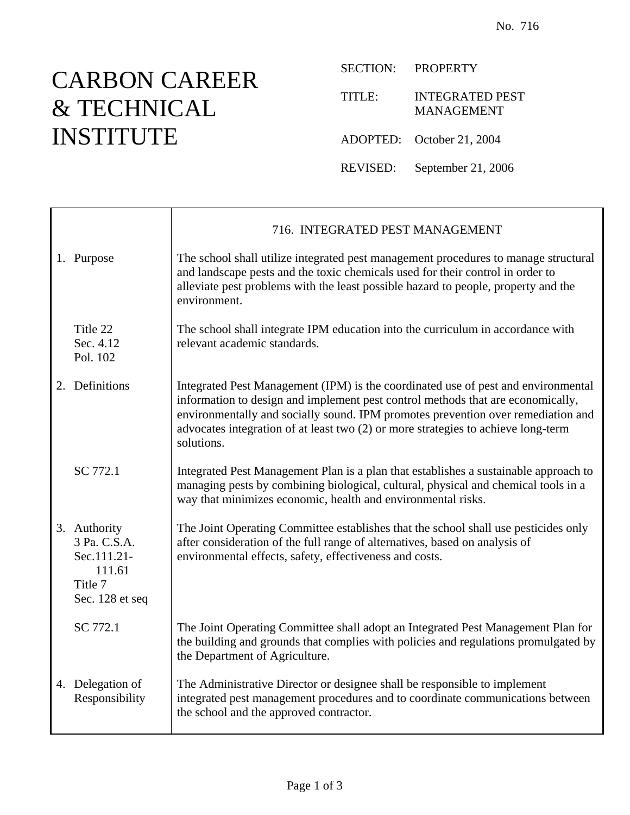## CARBON CAREER & TECHNICAL INSTITUTE

SECTION: PROPERTY

TITLE: INTEGRATED PEST MANAGEMENT

ADOPTED: October 21, 2004

REVISED: September 21, 2006

|                                                                                     | 716. INTEGRATED PEST MANAGEMENT                                                                                                                                                                                                                                                                                                                             |
|-------------------------------------------------------------------------------------|-------------------------------------------------------------------------------------------------------------------------------------------------------------------------------------------------------------------------------------------------------------------------------------------------------------------------------------------------------------|
| 1. Purpose                                                                          | The school shall utilize integrated pest management procedures to manage structural<br>and landscape pests and the toxic chemicals used for their control in order to<br>alleviate pest problems with the least possible hazard to people, property and the<br>environment.                                                                                 |
| Title 22<br>Sec. 4.12<br>Pol. 102                                                   | The school shall integrate IPM education into the curriculum in accordance with<br>relevant academic standards.                                                                                                                                                                                                                                             |
| 2. Definitions                                                                      | Integrated Pest Management (IPM) is the coordinated use of pest and environmental<br>information to design and implement pest control methods that are economically,<br>environmentally and socially sound. IPM promotes prevention over remediation and<br>advocates integration of at least two (2) or more strategies to achieve long-term<br>solutions. |
| SC 772.1                                                                            | Integrated Pest Management Plan is a plan that establishes a sustainable approach to<br>managing pests by combining biological, cultural, physical and chemical tools in a<br>way that minimizes economic, health and environmental risks.                                                                                                                  |
| 3. Authority<br>3 Pa. C.S.A.<br>Sec.111.21-<br>111.61<br>Title 7<br>Sec. 128 et seq | The Joint Operating Committee establishes that the school shall use pesticides only<br>after consideration of the full range of alternatives, based on analysis of<br>environmental effects, safety, effectiveness and costs.                                                                                                                               |
| SC 772.1                                                                            | The Joint Operating Committee shall adopt an Integrated Pest Management Plan for<br>the building and grounds that complies with policies and regulations promulgated by<br>the Department of Agriculture.                                                                                                                                                   |
| 4. Delegation of<br>Responsibility                                                  | The Administrative Director or designee shall be responsible to implement<br>integrated pest management procedures and to coordinate communications between<br>the school and the approved contractor.                                                                                                                                                      |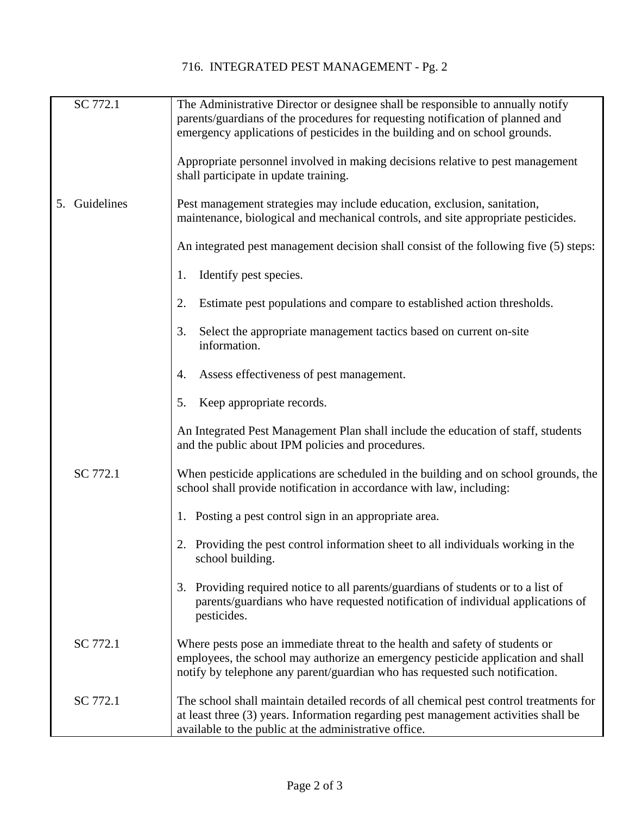| SC 772.1      | The Administrative Director or designee shall be responsible to annually notify<br>parents/guardians of the procedures for requesting notification of planned and<br>emergency applications of pesticides in the building and on school grounds. |
|---------------|--------------------------------------------------------------------------------------------------------------------------------------------------------------------------------------------------------------------------------------------------|
|               | Appropriate personnel involved in making decisions relative to pest management<br>shall participate in update training.                                                                                                                          |
| 5. Guidelines | Pest management strategies may include education, exclusion, sanitation,<br>maintenance, biological and mechanical controls, and site appropriate pesticides.                                                                                    |
|               | An integrated pest management decision shall consist of the following five (5) steps:                                                                                                                                                            |
|               | Identify pest species.<br>1.                                                                                                                                                                                                                     |
|               | Estimate pest populations and compare to established action thresholds.<br>2.                                                                                                                                                                    |
|               | Select the appropriate management tactics based on current on-site<br>3.<br>information.                                                                                                                                                         |
|               | Assess effectiveness of pest management.<br>4.                                                                                                                                                                                                   |
|               | Keep appropriate records.<br>5.                                                                                                                                                                                                                  |
|               | An Integrated Pest Management Plan shall include the education of staff, students<br>and the public about IPM policies and procedures.                                                                                                           |
| SC 772.1      | When pesticide applications are scheduled in the building and on school grounds, the<br>school shall provide notification in accordance with law, including:                                                                                     |
|               | 1. Posting a pest control sign in an appropriate area.                                                                                                                                                                                           |
|               | 2. Providing the pest control information sheet to all individuals working in the<br>school building.                                                                                                                                            |
|               | 3. Providing required notice to all parents/guardians of students or to a list of<br>parents/guardians who have requested notification of individual applications of<br>pesticides.                                                              |
| SC 772.1      | Where pests pose an immediate threat to the health and safety of students or<br>employees, the school may authorize an emergency pesticide application and shall<br>notify by telephone any parent/guardian who has requested such notification. |
| SC 772.1      | The school shall maintain detailed records of all chemical pest control treatments for<br>at least three (3) years. Information regarding pest management activities shall be<br>available to the public at the administrative office.           |